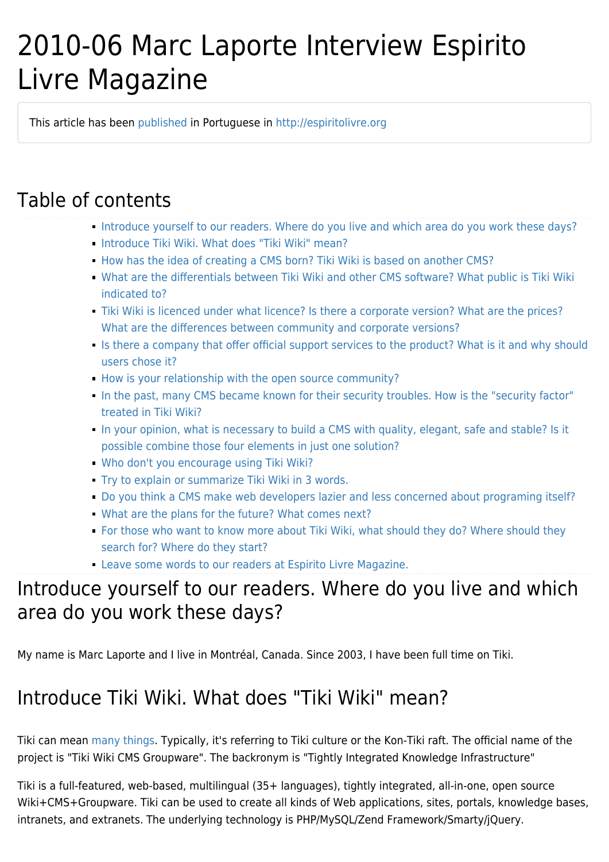# 2010-06 Marc Laporte Interview Espirito Livre Magazine

This article has been [published](http://info.tiki.org/article119-Wiki-Way-Webware) in Portuguese in [http://espiritolivre.org](http://www.revista.espiritolivre.org/?p=809)

# Table of contents

- [Introduce yourself to our readers. Where do you live and which area do you work these days?](#Introduce_yourself_to_our_readers._Where_do_you_live_and_which_area_do_you_work_these_days_)
- **[Introduce Tiki Wiki. What does "Tiki Wiki" mean?](#Introduce_Tiki_Wiki._What_does_Tiki_Wiki_mean_)**
- [How has the idea of creating a CMS born? Tiki Wiki is based on another CMS?](#page--1-0)
- [What are the differentials between Tiki Wiki and other CMS software? What public is Tiki Wiki](#page--1-0) [indicated to?](#page--1-0)
- [Tiki Wiki is licenced under what licence? Is there a corporate version? What are the prices?](#page--1-0) [What are the differences between community and corporate versions?](#page--1-0)
- [Is there a company that offer official support services to the product? What is it and why should](#page--1-0) [users chose it?](#page--1-0)
- [How is your relationship with the open source community?](#page--1-0)
- [In the past, many CMS became known for their security troubles. How is the "security factor"](#In_the_past_many_CMS_became_known_for_their_security_troubles._How_is_the_security_factor_treated_in_Tiki_Wiki_) [treated in Tiki Wiki?](#In_the_past_many_CMS_became_known_for_their_security_troubles._How_is_the_security_factor_treated_in_Tiki_Wiki_)
- [In your opinion, what is necessary to build a CMS with quality, elegant, safe and stable? Is it](#page--1-0) [possible combine those four elements in just one solution?](#page--1-0)
- [Who don't you encourage using Tiki Wiki?](#page--1-0)
- [Try to explain or summarize Tiki Wiki in 3 words.](#Try_to_explain_or_summarize_Tiki_Wiki_in_3_words.)
- [Do you think a CMS make web developers lazier and less concerned about programing itself?](#page--1-0)
- [What are the plans for the future? What comes next?](#page--1-0)
- [For those who want to know more about Tiki Wiki, what should they do? Where should they](#page--1-0) [search for? Where do they start?](#page--1-0)
- [Leave some words to our readers at Espirito Livre Magazine.](#Leave_some_words_to_our_readers_at_Espirito_Livre_Magazine.)

### Introduce yourself to our readers. Where do you live and which area do you work these days?

My name is Marc Laporte and I live in Montréal, Canada. Since 2003, I have been full time on Tiki.

# Introduce Tiki Wiki. What does "Tiki Wiki" mean?

Tiki can mean [many things](http://en.wikipedia.org/wiki/Tiki_%28disambiguation%29). Typically, it's referring to Tiki culture or the Kon-Tiki raft. The official name of the project is "Tiki Wiki CMS Groupware". The backronym is "Tightly Integrated Knowledge Infrastructure"

Tiki is a full-featured, web-based, multilingual (35+ languages), tightly integrated, all-in-one, open source Wiki+CMS+Groupware. Tiki can be used to create all kinds of Web applications, sites, portals, knowledge bases, intranets, and extranets. The underlying technology is PHP/MySQL/Zend Framework/Smarty/jQuery.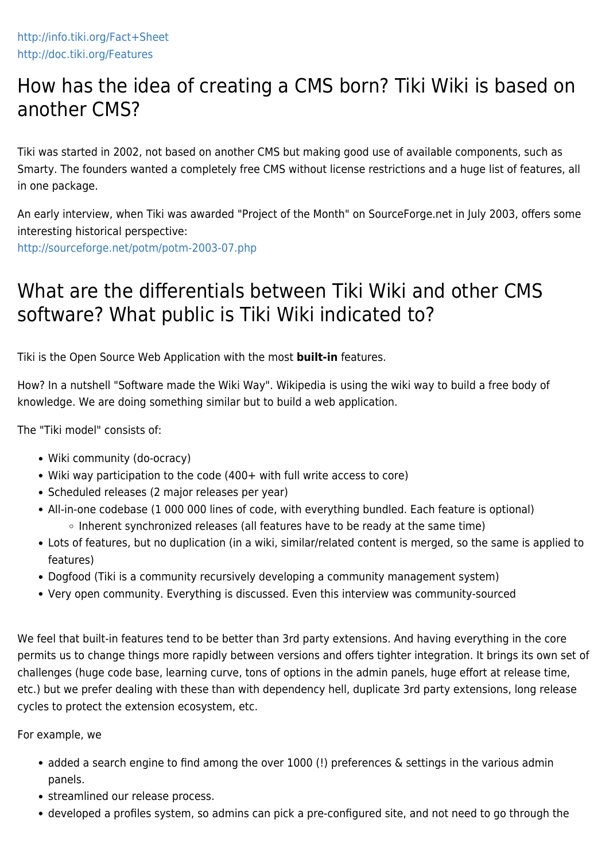### How has the idea of creating a CMS born? Tiki Wiki is based on another CMS?

Tiki was started in 2002, not based on another CMS but making good use of available components, such as Smarty. The founders wanted a completely free CMS without license restrictions and a huge list of features, all in one package.

An early interview, when Tiki was awarded "Project of the Month" on SourceForge.net in July 2003, offers some interesting historical perspective:

<http://sourceforge.net/potm/potm-2003-07.php>

# What are the differentials between Tiki Wiki and other CMS software? What public is Tiki Wiki indicated to?

Tiki is the Open Source Web Application with the most **built-in** features.

How? In a nutshell "Software made the Wiki Way". Wikipedia is using the wiki way to build a free body of knowledge. We are doing something similar but to build a web application.

The "Tiki model" consists of:

- Wiki community (do-ocracy)
- Wiki way participation to the code (400+ with full write access to core)
- Scheduled releases (2 major releases per year)
- All-in-one codebase (1 000 000 lines of code, with everything bundled. Each feature is optional) ○ Inherent synchronized releases (all features have to be ready at the same time)
- Lots of features, but no duplication (in a wiki, similar/related content is merged, so the same is applied to features)
- Dogfood (Tiki is a community recursively developing a community management system)
- Very open community. Everything is discussed. Even this interview was community-sourced

We feel that built-in features tend to be better than 3rd party extensions. And having everything in the core permits us to change things more rapidly between versions and offers tighter integration. It brings its own set of challenges (huge code base, learning curve, tons of options in the admin panels, huge effort at release time, etc.) but we prefer dealing with these than with dependency hell, duplicate 3rd party extensions, long release cycles to protect the extension ecosystem, etc.

For example, we

- added a search engine to find among the over 1000 (!) preferences & settings in the various admin panels.
- streamlined our release process.
- developed a profiles system, so admins can pick a pre-configured site, and not need to go through the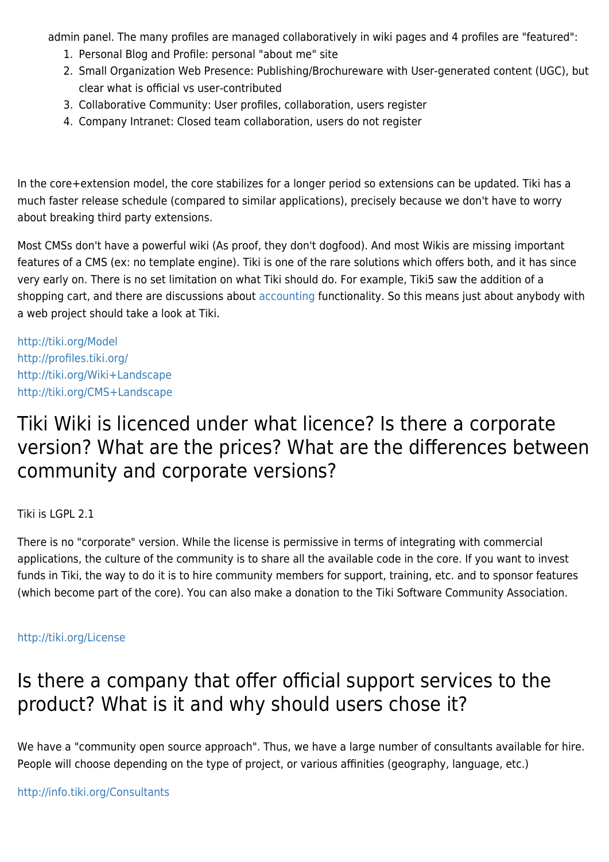admin panel. The many profiles are managed collaboratively in wiki pages and 4 profiles are "featured":

- 1. Personal Blog and Profile: personal "about me" site
- 2. Small Organization Web Presence: Publishing/Brochureware with User-generated content (UGC), but clear what is official vs user-contributed
- 3. Collaborative Community: User profiles, collaboration, users register
- 4. Company Intranet: Closed team collaboration, users do not register

In the core+extension model, the core stabilizes for a longer period so extensions can be updated. Tiki has a much faster release schedule (compared to similar applications), precisely because we don't have to worry about breaking third party extensions.

Most CMSs don't have a powerful wiki (As proof, they don't dogfood). And most Wikis are missing important features of a CMS (ex: no template engine). Tiki is one of the rare solutions which offers both, and it has since very early on. There is no set limitation on what Tiki should do. For example, Tiki5 saw the addition of a shopping cart, and there are discussions about [accounting](http://doc.tiki.org/accounting) functionality. So this means just about anybody with a web project should take a look at Tiki.

<http://tiki.org/Model> <http://profiles.tiki.org/> <http://tiki.org/Wiki+Landscape> <http://tiki.org/CMS+Landscape>

#### Tiki Wiki is licenced under what licence? Is there a corporate version? What are the prices? What are the differences between community and corporate versions?

Tiki is LGPL 2.1

There is no "corporate" version. While the license is permissive in terms of integrating with commercial applications, the culture of the community is to share all the available code in the core. If you want to invest funds in Tiki, the way to do it is to hire community members for support, training, etc. and to sponsor features (which become part of the core). You can also make a donation to the Tiki Software Community Association.

#### <http://tiki.org/License>

#### Is there a company that offer official support services to the product? What is it and why should users chose it?

We have a "community open source approach". Thus, we have a large number of consultants available for hire. People will choose depending on the type of project, or various affinities (geography, language, etc.)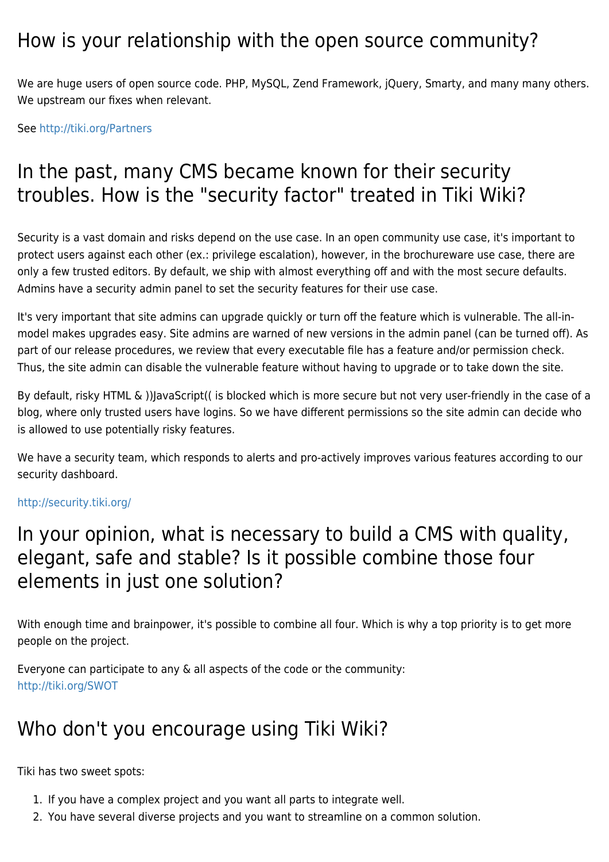#### How is your relationship with the open source community?

We are huge users of open source code. PHP, MySQL, Zend Framework, jQuery, Smarty, and many many others. We upstream our fixes when relevant.

See <http://tiki.org/Partners>

# In the past, many CMS became known for their security troubles. How is the "security factor" treated in Tiki Wiki?

Security is a vast domain and risks depend on the use case. In an open community use case, it's important to protect users against each other (ex.: privilege escalation), however, in the brochureware use case, there are only a few trusted editors. By default, we ship with almost everything off and with the most secure defaults. Admins have a security admin panel to set the security features for their use case.

It's very important that site admins can upgrade quickly or turn off the feature which is vulnerable. The all-inmodel makes upgrades easy. Site admins are warned of new versions in the admin panel (can be turned off). As part of our release procedures, we review that every executable file has a feature and/or permission check. Thus, the site admin can disable the vulnerable feature without having to upgrade or to take down the site.

By default, risky HTML & ))JavaScript(( is blocked which is more secure but not very user-friendly in the case of a blog, where only trusted users have logins. So we have different permissions so the site admin can decide who is allowed to use potentially risky features.

We have a security team, which responds to alerts and pro-actively improves various features according to our security dashboard.

#### <http://security.tiki.org/>

#### In your opinion, what is necessary to build a CMS with quality, elegant, safe and stable? Is it possible combine those four elements in just one solution?

With enough time and brainpower, it's possible to combine all four. Which is why a top priority is to get more people on the project.

Everyone can participate to any & all aspects of the code or the community: <http://tiki.org/SWOT>

### Who don't you encourage using Tiki Wiki?

Tiki has two sweet spots:

- 1. If you have a complex project and you want all parts to integrate well.
- 2. You have several diverse projects and you want to streamline on a common solution.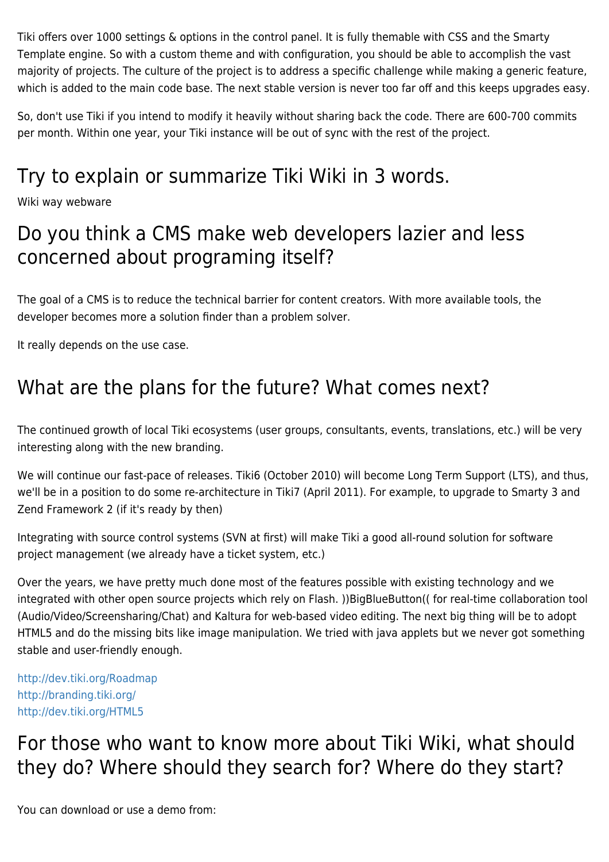Tiki offers over 1000 settings & options in the control panel. It is fully themable with CSS and the Smarty Template engine. So with a custom theme and with configuration, you should be able to accomplish the vast majority of projects. The culture of the project is to address a specific challenge while making a generic feature, which is added to the main code base. The next stable version is never too far off and this keeps upgrades easy.

So, don't use Tiki if you intend to modify it heavily without sharing back the code. There are 600-700 commits per month. Within one year, your Tiki instance will be out of sync with the rest of the project.

# Try to explain or summarize Tiki Wiki in 3 words.

Wiki way webware

#### Do you think a CMS make web developers lazier and less concerned about programing itself?

The goal of a CMS is to reduce the technical barrier for content creators. With more available tools, the developer becomes more a solution finder than a problem solver.

It really depends on the use case.

### What are the plans for the future? What comes next?

The continued growth of local Tiki ecosystems (user groups, consultants, events, translations, etc.) will be very interesting along with the new branding.

We will continue our fast-pace of releases. Tiki6 (October 2010) will become Long Term Support (LTS), and thus, we'll be in a position to do some re-architecture in Tiki7 (April 2011). For example, to upgrade to Smarty 3 and Zend Framework 2 (if it's ready by then)

Integrating with source control systems (SVN at first) will make Tiki a good all-round solution for software project management (we already have a ticket system, etc.)

Over the years, we have pretty much done most of the features possible with existing technology and we integrated with other open source projects which rely on Flash. ))BigBlueButton(( for real-time collaboration tool (Audio/Video/Screensharing/Chat) and Kaltura for web-based video editing. The next big thing will be to adopt HTML5 and do the missing bits like image manipulation. We tried with java applets but we never got something stable and user-friendly enough.

<http://dev.tiki.org/Roadmap> <http://branding.tiki.org/> <http://dev.tiki.org/HTML5>

# For those who want to know more about Tiki Wiki, what should they do? Where should they search for? Where do they start?

You can download or use a demo from: